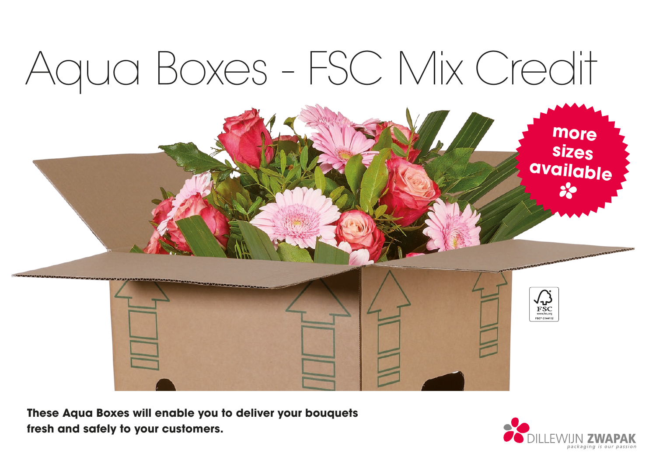# Aqua Boxes - FSC Mix Credit



**These Aqua Boxes will enable you to deliver your bouquets fresh and safely to your customers.**